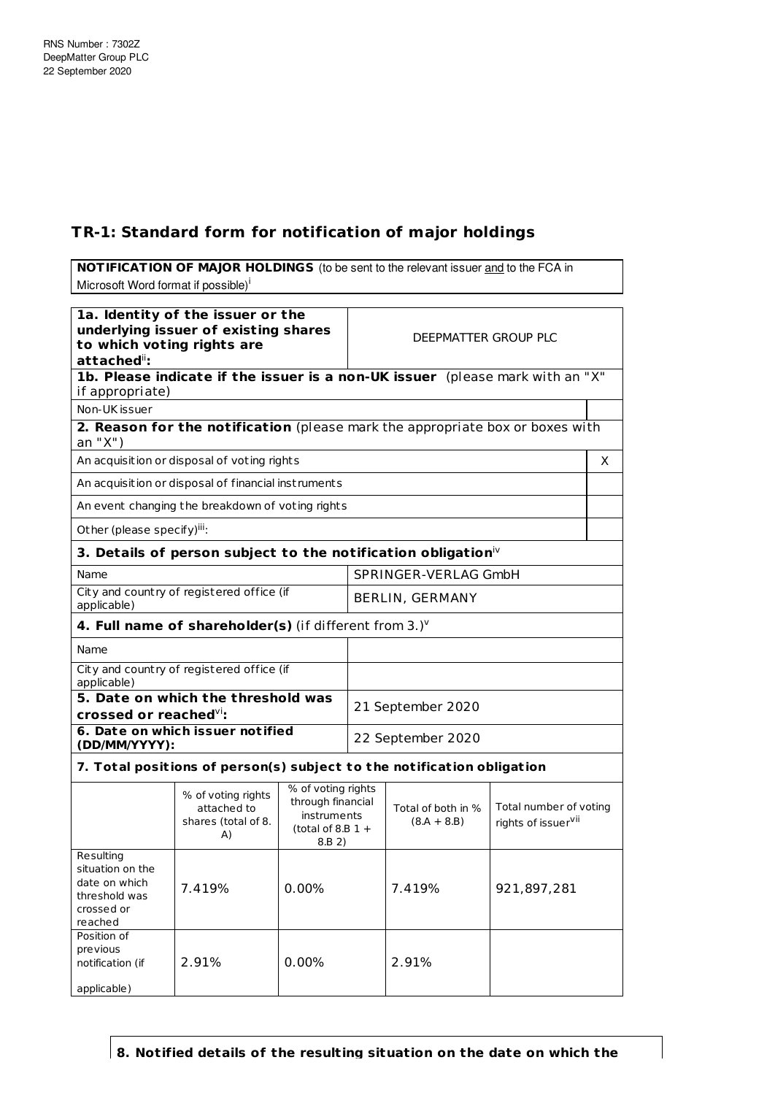date on which threshold was crossed or reached

Position of previous notification (if

applicable)

## **TR-1: Standard form for notification of major holdings**

**NOTIFICATION OF MAJOR HOLDINGS** (to be sent to the relevant issuer and to the FCA in Microsoft Word format if possible)<sup>i</sup> **1a. Identity of the issuer or the underlying issuer of existing shares to which voting rights are** attached<sup>ii</sup>: DEEPMATTER GROUP PLC **1b. Please indicate if the issuer is a non-UK issuer** (please mark with an "X" if appropriate) Non-UK issuer **2. Reason for the notification** (please mark the appropriate box or boxes with an "X") An acquisition or disposal of voting rights X An acquisition or disposal of financial inst ruments An event changing the breakdown of voting rights Other (please specify)<sup>iii</sup>: **3. Details of person subject to the notification obligation** iv Name SPRINGER-VERLAG GmbH City and count ry of registered office (if City and country of registered office (if  $\left\{\n\begin{matrix}\n\text{BERLIN, GERMANY}\n\end{matrix}\n\right\}$ **4. Full name of shareholder(s)** (if different from 3.) v Name City and country of registered office (if applicable) **5. Date on which the threshold was crossed or reached** vi**:** 21 September 2020 **6. Date on which issuer not ified (DD/MM/YYYY):** 22 September 2020 **7. Total posit ions of person(s) subject to the not ificat ion obligat ion** % of voting rights attached to shares (total of 8. A) % of voting rights through financial instruments (total of 8.B  $1 +$ 8.B 2) Total of both in %  $(8.A + 8.B)$ Total number of voting rights of issuer<sup>vii</sup> Resulting situation on the

**8. Notified details of the resulting situation on the date on which the**

2.91% 0.00% 2.91%

7.419% 0.00% 7.419% 921,897,281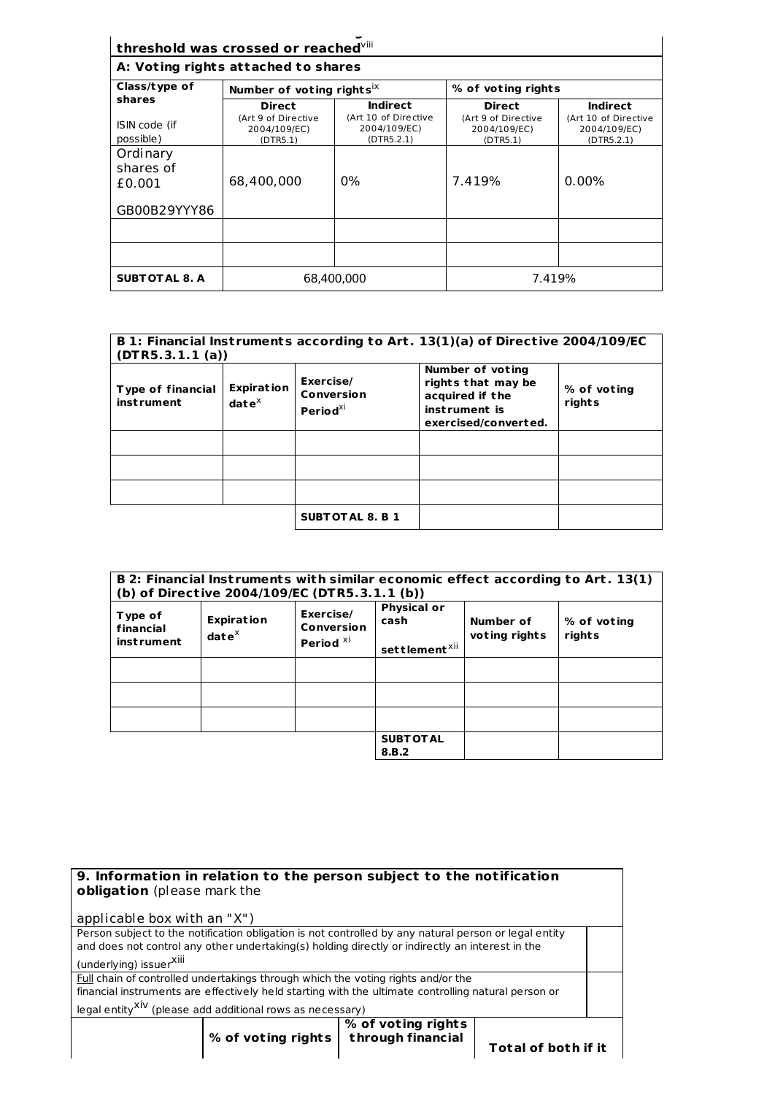| threshold was crossed or reached vill<br>A: Voting rights attached to shares |                                                 |                                                    |                                                 |                                                    |
|------------------------------------------------------------------------------|-------------------------------------------------|----------------------------------------------------|-------------------------------------------------|----------------------------------------------------|
| Class/type of                                                                | Number of voting rights <sup>ix</sup>           |                                                    | % of voting rights                              |                                                    |
| shares                                                                       | <b>Direct</b>                                   | <b>Indirect</b>                                    | <b>Direct</b>                                   | Indirect                                           |
| ISIN code (if<br>possible)                                                   | (Art 9 of Directive<br>2004/109/EC)<br>(DTR5.1) | (Art 10 of Directive<br>2004/109/EC)<br>(DTR5.2.1) | (Art 9 of Directive<br>2004/109/EC)<br>(DTR5.1) | (Art 10 of Directive<br>2004/109/EC)<br>(DTR5.2.1) |
| Ordinary<br>shares of<br>£0.001<br>GB00B29YYY86                              | 68,400,000                                      | $0\%$                                              | 7.419%                                          | $0.00\%$                                           |
|                                                                              |                                                 |                                                    |                                                 |                                                    |
|                                                                              |                                                 |                                                    |                                                 |                                                    |
| <b>SUBT OT AL 8. A</b>                                                       | 68,400,000                                      |                                                    | 7.419%                                          |                                                    |

## **B 1: Financial Inst ruments according to Art . 13(1)(a) of Direct ive 2004/109/EC (DTR5.3.1.1 (a))**

| <b>Type of financial</b><br><b>instrument</b> | <b>Expiration</b><br>$date^{\chi}$ | Exercise/<br>Conversion<br>Period $^{\chi i}$ | Number of voting<br>rights that may be<br>acquired if the<br>instrument is<br>exercised/converted. | % of voting<br>rights |
|-----------------------------------------------|------------------------------------|-----------------------------------------------|----------------------------------------------------------------------------------------------------|-----------------------|
|                                               |                                    |                                               |                                                                                                    |                       |
|                                               |                                    |                                               |                                                                                                    |                       |
|                                               |                                    |                                               |                                                                                                    |                       |
|                                               |                                    | <b>SUBTOTAL 8. B 1</b>                        |                                                                                                    |                       |

|                                           |                                             | (b) of Directive 2004/109/EC (DTR5.3.1.1 (b))          |                                                         |                            | B 2: Financial Instruments with similar economic effect according to Art. 13(1) |
|-------------------------------------------|---------------------------------------------|--------------------------------------------------------|---------------------------------------------------------|----------------------------|---------------------------------------------------------------------------------|
| Type of<br>financial<br><i>instrument</i> | <b>Expiration</b><br>$\mathbf{date}^\times$ | Exercise/<br><b>Conversion</b><br>Period <sup>Xi</sup> | <b>Physical or</b><br>cash<br>settlement <sup>xii</sup> | Number of<br>voting rights | % of voting<br>rights                                                           |
|                                           |                                             |                                                        |                                                         |                            |                                                                                 |
|                                           |                                             |                                                        |                                                         |                            |                                                                                 |
|                                           |                                             |                                                        |                                                         |                            |                                                                                 |
|                                           |                                             |                                                        | <b>SUBT OT AL</b><br>8.B.2                              |                            |                                                                                 |

| 9. Information in relation to the person subject to the notification<br>obligation (please mark the   |
|-------------------------------------------------------------------------------------------------------|
| applicable box with an "X")                                                                           |
| Person subject to the notification obligation is not controlled by any natural person or legal entity |
| and does not control any other undertaking(s) holding directly or indirectly an interest in the       |
| (underlying) issuerXili                                                                               |
| Full chain of controlled undertakings through which the voting rights and/or the                      |
| financial instruments are effectively held starting with the ultimate controlling natural person or   |
| legal entity <sup>XiV</sup> (please add additional rows as necessary)                                 |
| % of voting rights<br>through financial<br>% of voting rights $ $<br><b>Total of both if it</b>       |